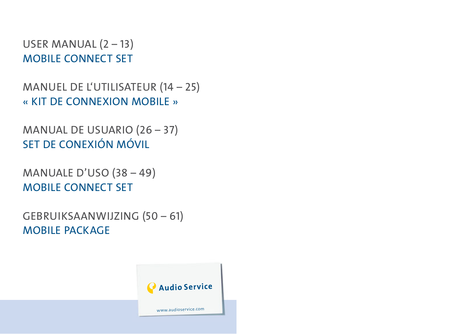USER MANUAL (2 – 13) MOBILE CONNECT SET

MANUEL DE L'UTILISATEUR (14 – 25) « KIT DE CONNEXION MOBILE »

MANUAL DE USUARIO (26 – 37) SET DE CONEXIÓN MÓVIL

MANUALE D'USO (38 – 49) MOBILE CONNECT SET

GEBRUIKSAANWIJZING (50 – 61) MOBILE PACKAGE

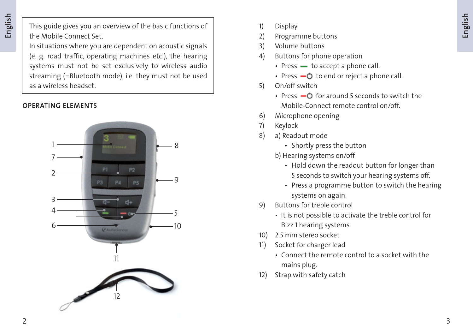This guide gives you an overview of the basic functions of the Mobile Connect Set.

In situations where you are dependent on acoustic signals (e. g. road traffic, operating machines etc.), the hearing systems must not be set exclusively to wireless audio streaming (=Bluetooth mode), i.e. they must not be used as a wireless headset.

## **OPERATING ELEMENTS**



- 1) Display
- 2) Programme buttons
- 3) Volume buttons
- 4) Buttons for phone operation
	- $\cdot$  Press  $\cdot$  to accept a phone call.
	- Press  $\Box$  to end or reject a phone call.
- 5) On/off switch
	- Press  $\Box$  of  $\Box$  for around 5 seconds to switch the Mobile-Connect remote control on/off.
- 6) Microphone opening
- 7) Keylock
- 8) a) Readout mode
	- Shortly press the button
	- b) Hearing systems on/off
		- Hold down the readout button for longer than 5 seconds to switch your hearing systems off.
		- Press a programme button to switch the hearing systems on again.
- 9) Buttons for treble control
	- It is not possible to activate the treble control for Bizz 1 hearing systems.
- 10) 2.5 mm stereo socket
- 11) Socket for charger lead
	- Connect the remote control to a socket with the mains plug.
- 12) Strap with safety catch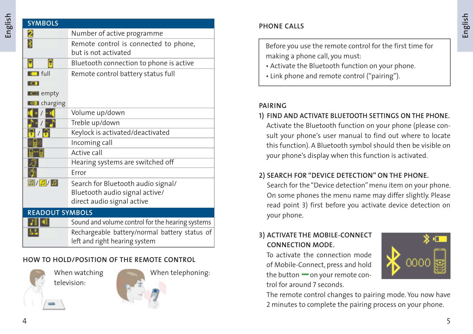| <b>SYMBOLS</b>            |                                                                                                    |
|---------------------------|----------------------------------------------------------------------------------------------------|
| 2                         | Number of active programme                                                                         |
| 暑                         | Remote control is connected to phone,<br>but is not activated                                      |
| E<br>8                    | Bluetooth connection to phone is active                                                            |
| $\blacksquare$ full<br>юı | Remote control battery status full                                                                 |
| $\blacksquare$ empty      |                                                                                                    |
| <b>Lu-I</b> charging      |                                                                                                    |
|                           | Volume up/down                                                                                     |
|                           | Treble up/down                                                                                     |
|                           | Keylock is activated/deactivated                                                                   |
|                           | Incoming call                                                                                      |
|                           | Active call                                                                                        |
|                           | Hearing systems are switched off                                                                   |
|                           | Frror                                                                                              |
| $\boxed{1} / \boxed{1}$   | Search for Bluetooth audio signal/<br>Bluetooth audio signal active/<br>direct audio signal active |
| <b>READOUT SYMBOLS</b>    |                                                                                                    |
|                           | Sound and volume control for the hearing systems                                                   |
|                           | Rechargeable battery/normal battery status of<br>left and right hearing system                     |

## **HOW TO HOLD/POSITION OF THE REMOTE CONTROL**



 When watching television:



When telephoning:

## **PHONE CALLS**

 Before you use the remote control for the first time for making a phone call, you must:

- Activate the Bluetooth function on your phone.
- Link phone and remote control ("pairing").

## **PAIRING**

## **1) FIND AND ACTIVATE BLUETOOTH SETTINGS ON THE PHONE.**

Activate the Bluetooth function on your phone (please consult your phone's user manual to find out where to locate this function). A Bluetooth symbol should then be visible on your phone's display when this function is activated.

## **2) SEARCH FOR "DEVICE DETECTION" ON THE PHONE.**

Search for the "Device detection" menu item on your phone. On some phones the menu name may differ slightly. Please read point 3) first before you activate device detection on your phone.

## **3) ACTIVATE THE MOBILE-CONNECT CONNECTION MODE.**

To activate the connection mode of Mobile-Connect, press and hold the button  $\equiv$  on your remote control for around 7 seconds.



The remote control changes to pairing mode. You now have 2 minutes to complete the pairing process on your phone.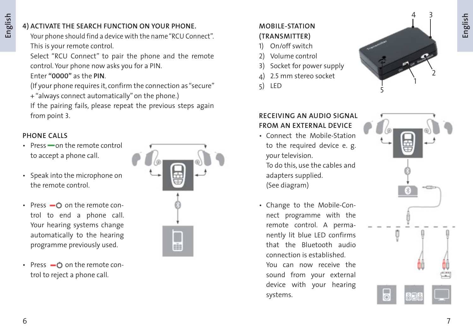## **4) ACTIVATE THE SEARCH FUNCTION ON YOUR PHONE.**

Your phone should find a device with the name "RCU Connect". This is your remote control.

Select "RCU Connect" to pair the phone and the remote control. Your phone now asks you for a PIN.

## Enter **"0000"** as the **PIN**.

(If your phone requires it, confirm the connection as "secure" + "always connect automatically" on the phone.)

If the pairing fails, please repeat the previous steps again from point 3.

## **PHONE CALLS**

- $\cdot$  Press  $\equiv$  on the remote control to accept a phone call.
- Speak into the microphone on the remote control.
- Press  $\bullet$  on the remote con trol to end a phone call. Your hearing systems change automatically to the hearing programme previously used.
- Press  $\bullet$  on the remote control to reject a phone call.



# **MOBILE-STATION**

- **(TRANSMITTER)**
- 1) On/off switch
- 2) Volume control
- 3) Socket for power supply
- 4) 2.5 mm stereo socket
- 5) LED



## **RECEIVING AN AUDIO SIGNAL FROM AN EXTERNAL DEVICE**

 • Connect the Mobile-Station to the required device e. g. your television.

 To do this, use the cables and adapters supplied. (See diagram)

• Change to the Mobile-Con nect programme with the remote control. A perma nently lit blue LED confirms that the Bluetooth audio connection is established. You can now receive the sound from your external device with your hearing

systems.

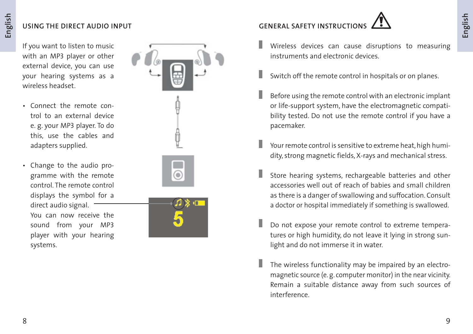## **USING THE DIRECT AUDIO INPUT**

 If you want to listen to music with an MP3 player or other external device, you can use your hearing systems as a wireless headset.

- Connect the remote con trol to an external device e. g. your MP3 player. To do this, use the cables and adapters supplied.
- Change to the audio pro gramme with the remote control. The remote control displays the symbol for a direct audio signal. You can now receive the sound from your MP3 player with your hearing systems.



# **GENERAL SAFETY INSTRUCTION**



- Wireless devices can cause disruptions to measuring instruments and electronic devices.
- Switch off the remote control in hospitals or on planes.
- Before using the remote control with an electronic implant or life-support system, have the electromagnetic compatibility tested. Do not use the remote control if you have a pacemaker.
- Your remote control is sensitive to extreme heat, high humidity, strong magnetic fields, X-rays and mechanical stress.
- Store hearing systems, rechargeable batteries and other accessories well out of reach of babies and small children as there is a danger of swallowing and suffocation. Consult a doctor or hospital immediately if something is swallowed.
- Do not expose your remote control to extreme temperatures or high humidity, do not leave it lying in strong sunlight and do not immerse it in water.
- The wireless functionality may be impaired by an electromagnetic source (e. g. computer monitor) in the near vicinity. Remain a suitable distance away from such sources of interference.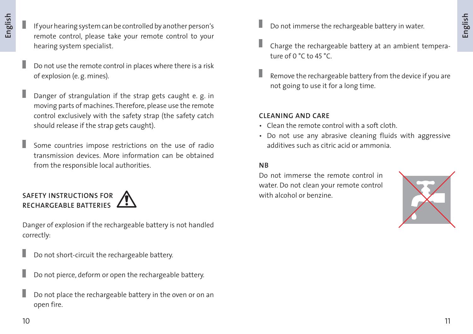- If your hearing system can be controlled by another person's remote control, please take your remote control to your hearing system specialist.
- Do not use the remote control in places where there is a risk of explosion (e. g. mines).
- Danger of strangulation if the strap gets caught e. g. in moving parts of machines. Therefore, please use the remote control exclusively with the safety strap (the safety catch should release if the strap gets caught).
- Some countries impose restrictions on the use of radio transmission devices. More information can be obtained from the responsible local authorities.

## **SAFETY INSTRUCTIONS FOR A SAFETY INSTRUCTIONS FOR RECHARGEABLE BATTERIES**

 Danger of explosion if the rechargeable battery is not handled correctly:

- Do not short-circuit the rechargeable battery.
- Do not pierce, deform or open the rechargeable battery.
- Do not place the rechargeable battery in the oven or on an open fire.
- Do not immerse the rechargeable battery in water.
- Charge the rechargeable battery at an ambient temperature of 0 °C to 45 °C.
- Remove the rechargeable battery from the device if you are not going to use it for a long time.

## **CLEANING AND CARE**

- Clean the remote control with a soft cloth.
- Do not use any abrasive cleaning fluids with aggressive additives such as citric acid or ammonia.

## **NB**

 Do not immerse the remote control in water. Do not clean your remote control

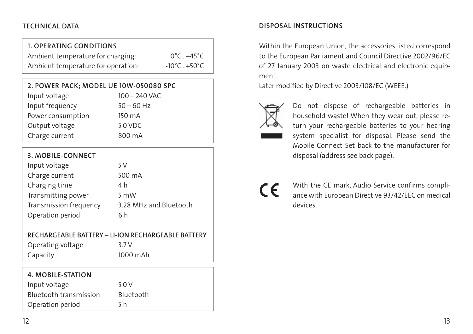## **1. OPERATING CONDITIONS**

| Ambient temperature for charging:  | $0^{\circ}$ C+45 $^{\circ}$ C   |
|------------------------------------|---------------------------------|
| Ambient temperature for operation: | $-10^{\circ}$ C+50 $^{\circ}$ C |

| 2. POWER PACK; MODEL UE 10W-050080 SPC |  |
|----------------------------------------|--|
|----------------------------------------|--|

| Input voltage     | $100 - 240$ VAC |
|-------------------|-----------------|
| Input frequency   | $50 - 60$ Hz    |
| Power consumption | 150 mA          |
| Output voltage    | 5.0 VDC         |
| Charge current    | 800 mA          |

## **3. MOBILE-CONNECT**

| Input voltage          | 5 V                    |
|------------------------|------------------------|
| Charge current         | 500 mA                 |
| Charging time          | 4 h                    |
| Transmitting power     | 5 mW                   |
| Transmission frequency | 3.28 MHz and Bluetooth |
| Operation period       | 6 h                    |

### **RECHARGEABLE BATTERY – LI-ION RECHARGEABLE BATTERY**

| Operating voltage | 3.7V        |
|-------------------|-------------|
| Capacity          | <b>1000</b> |

1000 mAh

| 4. MOBILE-STATION      |           |
|------------------------|-----------|
| Input voltage          | 5.0 V     |
| Bluetooth transmission | Bluetooth |
| Operation period       | 5 h       |

## **TECHNICAL DATA DISPOSAL INSTRUCTIONS**

 Within the European Union, the accessories listed correspond to the European Parliament and Council Directive 2002/96/EC of 27 January 2003 on waste electrical and electronic equipment.

Later modified by Directive 2003/108/EC (WEEE.)



 Do not dispose of rechargeable batteries in household waste! When they wear out, please return your rechargeable batteries to your hearing system specialist for disposal. Please send the Mobile Connect Set back to the manufacturer for disposal (address see back page).



With the CE mark, Audio Service confirms compliance with European Directive 93/42/EEC on medical devices.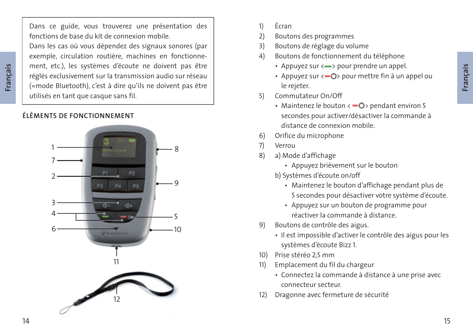Dans ce guide, vous trouverez une présentation des fonctions de base du kit de connexion mobile.

Dans les cas où vous dépendez des signaux sonores (par exemple, circulation routière, machines en fonctionnement, etc.), les systèmes d'écoute ne doivent pas être réglés exclusivement sur la transmission audio sur réseau (=mode Bluetooth), c'est à dire qu'ils ne doivent pas être utilisés en tant que casque sans fil.

## **ÉLÉMENTS DE FONCTIONNEMENT**



- 1) Écran
- 2) Boutons des programmes
- 3) Boutons de réglage du volume
- 4) Boutons de fonctionnement du téléphone
	- Appuyez sur <- > pour prendre un appel.
	- Appuyez sur  $\langle -\mathbb{O} \rangle$  pour mettre fin à un appel ou le rejeter.
- 5) Commutateur On/Off
	- Maintenez le bouton  $\leftarrow$   $\bullet$  > pendant environ 5 secondes pour activer/désactiver la commande à distance de connexion mobile.
- 6) Orifice du microphone
- 7) Verrou
- 8) a) Mode d'affichage
	- Appuyez brièvement sur le bouton
	- b) Systèmes d'écoute on/off
		- Maintenez le bouton d'affichage pendant plus de 5 secondes pour désactiver votre système d'écoute.
		- Appuyez sur un bouton de programme pour réactiver la commande à distance.
- 9) Boutons de contrôle des aigus.
	- Il est impossible d'activer le contrôle des aigus pour les systèmes d'écoute Bizz 1.
- 10) Prise stéréo 2,5 mm
- 11) Emplacement du fil du chargeur
	- Connectez la commande à distance à une prise avec connecteur secteur.
- 12) Dragonne avec fermeture de sécurité

 **Français**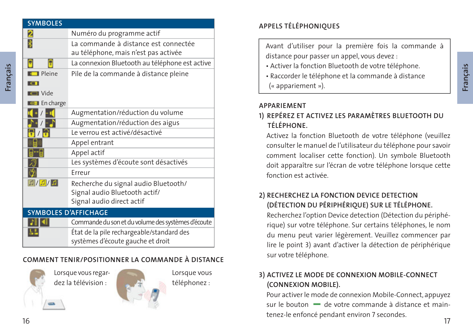| <b>SYMBOLES</b>             |                                                                                                    |
|-----------------------------|----------------------------------------------------------------------------------------------------|
| 2                           | Numéro du programme actif                                                                          |
|                             | La commande à distance est connectée<br>au téléphone, mais n'est pas activée                       |
| P                           | La connexion Bluetooth au téléphone est active                                                     |
| $\blacksquare$ Pleine       | Pile de la commande à distance pleine                                                              |
| юT                          |                                                                                                    |
| <b>Le Vide</b>              |                                                                                                    |
| <b>Lo-1</b> En charge       |                                                                                                    |
|                             | Augmentation/réduction du volume                                                                   |
|                             | Augmentation/réduction des aigus                                                                   |
|                             | Le verrou est activé/désactivé                                                                     |
|                             | Appel entrant                                                                                      |
|                             | Appel actif                                                                                        |
|                             | Les systèmes d'écoute sont désactivés                                                              |
|                             | Frreur                                                                                             |
| 1/2/1                       | Recherche du signal audio Bluetooth/<br>Signal audio Bluetooth actif/<br>Signal audio direct actif |
| <b>SYMBOLES D'AFFICHAGE</b> |                                                                                                    |
|                             | Commande du son et du volume des systèmes d'écoute                                                 |

# État de la pile rechargeable/standard des systèmes d'écoute gauche et droit

## **COMMENT TENIR/POSITIONNER LA COMMANDE À DISTANCE**



느느

Lorsque vous regardez la télévision :



 Lorsque vous téléphonez :

## **APPELS TÉLÉPHONIQUES**

Avant d'utiliser pour la première fois la commande à distance pour passer un appel, vous devez :

- Activer la fonction Bluetooth de votre téléphone.
- Raccorder le téléphone et la commande à distance

(« appariement »).

## **APPARIEMENT**

## **1) REPÉREZ ET ACTIVEZ LES PARAMÈTRES BLUETOOTH DU TÉLÉPHONE.**

Activez la fonction Bluetooth de votre téléphone (veuillez consulter le manuel de l'utilisateur du téléphone pour savoir comment localiser cette fonction). Un symbole Bluetooth doit apparaître sur l'écran de votre téléphone lorsque cette fonction est activée.

## **2) RECHERCHEZ LA FONCTION DEVICE DETECTION (DÉTECTION DU PÉRIPHÉRIQUE) SUR LE TÉLÉPHONE.**

Recherchez l'option Device detection (Détection du périphérique) sur votre téléphone. Sur certains téléphones, le nom du menu peut varier légèrement. Veuillez commencer par lire le point 3) avant d'activer la détection de périphérique sur votre téléphone.

## **3) ACTIVEZ LE MODE DE CONNEXION MOBILE-CONNECT (CONNEXION MOBILE).**

6 and the contract of the contract of the contract of the contract of the contract of the contract of the contract of the contract of the contract of the contract of the contract of the contract of the contract of the cont Pour activer le mode de connexion Mobile-Connect, appuyez sur le bouton  $\blacksquare$  de votre commande à distance et maintenez-le enfoncé pendant environ 7 secondes.

 **Français**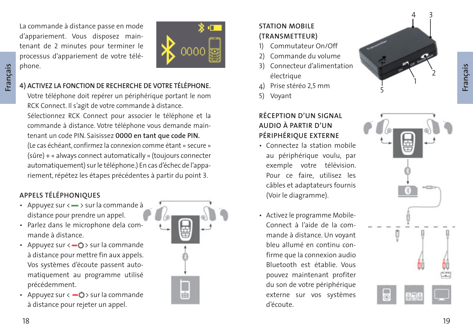**Français**

 La commande à distance passe en mode d'appariement. Vous disposez maintenant de 2 minutes pour terminer le processus d'appariement de votre téléphone.



## **4) ACTIVEZ LA FONCTION DE RECHERCHE DE VOTRE TÉLÉPHONE.**

Votre téléphone doit repérer un périphérique portant le nom RCK Connect. Il s'agit de votre commande à distance. Sélectionnez RCK Connect pour associer le téléphone et la commande à distance. Votre téléphone vous demande maintenant un code PIN. Saisissez **0000 en tant que code PIN.** (Le cas échéant, confirmez la connexion comme étant « secure » (sûre) + « always connect automatically » (toujours connecter automatiquement) sur le téléphone.) En cas d'échec de l'appariement, répétez les étapes précédentes à partir du point 3.

## **APPELS TÉLÉPHONIQUES**

- Appuyez sur  $\leftarrow$  > sur la commande à distance pour prendre un appel.
- Parlez dans le microphone dela com mande à distance.
- Appuyez sur  $\leftarrow$   $\bullet$  > sur la commande à distance pour mettre fin aux appels. Vos systèmes d'écoute passent auto matiquement au programme utilisé précédemment.
- Appuyez sur  $\leftarrow$   $\bullet$  > sur la commande à distance pour rejeter un appel.



## **STATION MOBILE (TRANSMETTEUR)**

- 1) Commutateur On/Off
- 2) Commande du volume
- 3) Connecteur d'alimentation électrique
- 4) Prise stéréo 2,5 mm
- 5) Voyant

## **RÉCEPTION D'UN SIGNAL AUDIO À PARTIR D'UN PÉRIPHÉRIQUE EXTERNE**

- Connectez la station mobile au périphérique voulu, par exemple votre télévision. Pour ce faire, utilisez les câbles et adaptateurs fournis (Voir le diagramme).
- Activez le programme Mobile-Connect à l'aide de la com mande à distance. Un voyant bleu allumé en continu con firme que la connexion audio Bluetooth est établie. Vous pouvez maintenant profiter du son de votre périphérique externe sur vos systèmes d'écoute.



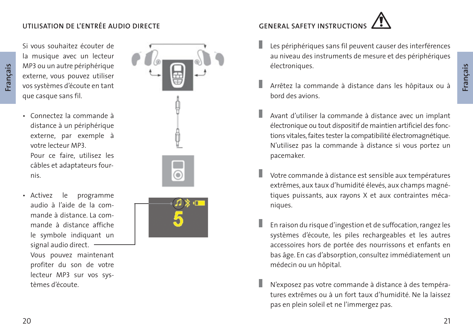## **UTILISATION DE L'ENTRÉE AUDIO DIRECTE**

Si vous souhaitez écouter de la musique avec un lecteur MP3 ou un autre périphérique externe, vous pouvez utiliser vos systèmes d'écoute en tant que casque sans fil.

- Connectez la commande à distance à un périphérique externe, par exemple à votre lecteur MP3. Pour ce faire, utilisez les câbles et adaptateurs four nis.
- Activez le programme audio à l'aide de la com mande à distance. La com mande à distance affiche le symbole indiquant un signal audio direct.  $-$ Vous pouvez maintenant

 profiter du son de votre lecteur MP3 sur vos sys tèmes d'écoute.





- Les périphériques sans fil peuvent causer des interférences au niveau des instruments de mesure et des périphériques électroniques.
- Arrêtez la commande à distance dans les hôpitaux ou à bord des avions.
- Avant d'utiliser la commande à distance avec un implant électronique ou tout dispositif de maintien artificiel des fonctions vitales, faites tester la compatibilité électromagnétique. N'utilisez pas la commande à distance si vous portez un pacemaker.
- Votre commande à distance est sensible aux températures extrêmes, aux taux d'humidité élevés, aux champs magnétiques puissants, aux rayons X et aux contraintes mécaniques.
- En raison du risque d'ingestion et de suffocation, rangez les systèmes d'écoute, les piles rechargeables et les autres accessoires hors de portée des nourrissons et enfants en bas âge. En cas d'absorption, consultez immédiatement un médecin ou un hôpital.
	- N'exposez pas votre commande à distance à des températures extrêmes ou à un fort taux d'humidité. Ne la laissez pas en plein soleil et ne l'immergez pas.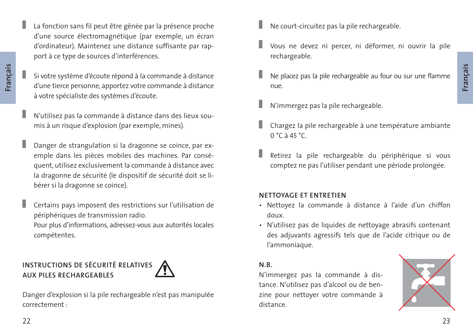La fonction sans fil peut être gênée par la présence proche d'une source électromagnétique (par exemple, un écran d'ordinateur). Maintenez une distance suffisante par rapport à ce type de sources d'interférences.

- Si votre système d'écoute répond à la commande à distance d'une tierce personne, apportez votre commande à distance à votre spécialiste des systèmes d'écoute.
- N'utilisez pas la commande à distance dans des lieux soumis à un risque d'explosion (par exemple, mines).
- Danger de strangulation si la dragonne se coince, par exemple dans les pièces mobiles des machines. Par conséquent, utilisez exclusivement la commande à distance avec la dragonne de sécurité (le dispositif de sécurité doit se libérer si la dragonne se coince).
- Certains pays imposent des restrictions sur l'utilisation de périphériques de transmission radio.

Pour plus d'informations, adressez-vous aux autorités locales compétentes.

## **INSTRUCTIONS DE SÉCURITÉ RELATIVES AUX PILES RECHARGEABLES**



Danger d'explosion si la pile rechargeable n'est pas manipulée correctement :

- Ne court-circuitez pas la pile rechargeable.
- Vous ne devez ni percer, ni déformer, ni ouvrir la pile rechargeable.
- Ne placez pas la pile rechargeable au four ou sur une flamme nue.
- N'immergez pas la pile rechargeable.
- Chargez la pile rechargeable à une température ambiante  $0 °C$  à 45 °C.
- Retirez la pile rechargeable du périphérique si vous comptez ne pas l'utiliser pendant une période prolongée.

## **NETTOYAGE ET ENTRETIEN**

- Nettoyez la commande à distance à l'aide d'un chiffon doux.
- N'utilisez pas de liquides de nettoyage abrasifs contenant des adjuvants agressifs tels que de l'acide citrique ou de l'ammoniaque.

## **N.B.**

N'immergez pas la commande à distance. N'utilisez pas d'alcool ou de benzine pour nettoyer votre commande à distance.

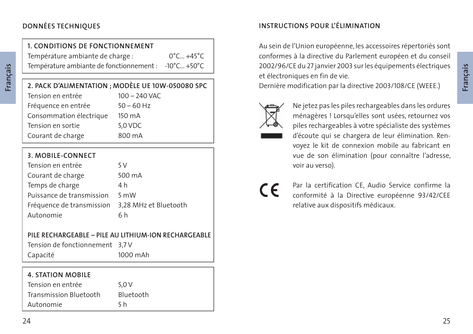## **1. CONDITIONS DE FONCTIONNEMENT**

Température ambiante de charge :  $0^{\circ}$ C... +45<sup>°</sup>C Température ambiante de fonctionnement : -10°C… +50°C

# **2. PACK D'ALIMENTATION ; MODÈLE UE 10W-050080 SPC**

| Tension en entrée       | $100 - 240$ VAC |
|-------------------------|-----------------|
| Fréquence en entrée     | $50 - 60$ Hz    |
| Consommation électrique | 150 mA          |
| Tension en sortie       | 5.0 VDC         |
| Courant de charge       | 800 mA          |

## **3. MOBILE-CONNECT**

| Tension en entrée         | 5 V                   |
|---------------------------|-----------------------|
| Courant de charge         | 500 mA                |
| Temps de charge           | 4 h                   |
| Puissance de transmission | 5 mW                  |
| Fréquence de transmission | 3,28 MHz et Bluetooth |
| Autonomie                 | 6h                    |

## **PILE RECHARGEABLE – PILE AU LITHIUM-ION RECHARGEABLE**

 Tension de fonctionnement 3,7 V Capacité 1000 mAh

## **4. STATION MOBILE** Tension en entrée 5,0 V Transmission Bluetooth Bluetooth Autonomie 5 h

## **INSTRUCTIONS POUR L'ÉLIMINATION**

Au sein de l'Union européenne, les accessoires répertoriés sont conformes à la directive du Parlement européen et du conseil 2002/96/CE du 27 janvier 2003 sur les équipements électriques et électroniques en fin de vie.

Dernière modification par la directive 2003/108/CE (WEEE.)



Ne jetez pas les piles rechargeables dans les ordures ménagères ! Lorsqu'elles sont usées, retournez vos piles rechargeables à votre spécialiste des systèmes d'écoute qui se chargera de leur élimination. Renvoyez le kit de connexion mobile au fabricant en vue de son élimination (pour connaître l'adresse, voir au verso).

Par la certification CE, Audio Service confirme la conformité à la Directive européenne 93/42/CEE relative aux dispositifs médicaux.

 **Français**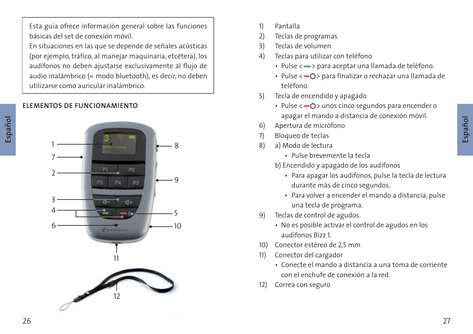Esta guía ofrece información general sobre las funciones básicas del set de conexión móvil.

En situaciones en las que se depende de señales acústicas (por ejemplo, tráfico, al manejar maquinaria, etcétera), los audífonos no deben ajustarse exclusivamente al flujo de audio inalámbrico (= modo bluetooth), es decir, no deben utilizarse como auricular inalámbrico.

## **ELEMENTOS DE FUNCIONAMIENTO**



- 1) Pantalla
- 2) Teclas de programas
- 3) Teclas de volumen
- 4) Teclas para utilizar con teléfono
	- Pulse < > para aceptar una llamada de teléfono.
	- Pulse <  $\bullet$  > para finalizar o rechazar una llamada de teléfono.
- 5) Tecla de encendido y apagado
	- $\cdot$  Pulse  $\leftarrow$   $\bullet$   $\cdot$  unos cinco segundos para encender o apagar el mando a distancia de conexión móvil.
- 6) Apertura de micrófono
- 7) Bloqueo de teclas
- 8) a) Modo de lectura
	- Pulse brevemente la tecla
	- b) Encendido y apagado de los audífonos
		- Para apagar los audífonos, pulse la tecla de lectura durante más de cinco segundos.
		- Para volver a encender el mando a distancia, pulse una tecla de programa.
- 9) Teclas de control de agudos.
	- No es posible activar el control de agudos en los audífonos Bizz 1.
- 10) Conector estéreo de 2,5 mm
- 11) Conector del cargador
	- Conecte el mando a distancia a una toma de corriente con el enchufe de conexión a la red.
- 12) Correa con seguro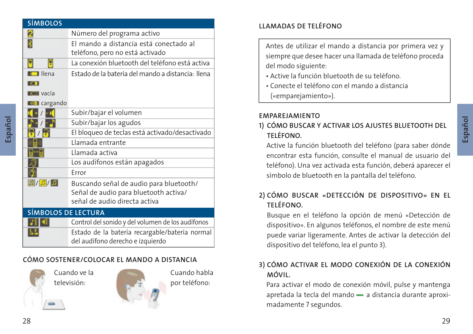| <b>SÍMBOLOS</b>            |                                                                                                                   |
|----------------------------|-------------------------------------------------------------------------------------------------------------------|
| 2                          | Número del programa activo                                                                                        |
| 暑                          | El mando a distancia está conectado al<br>teléfono, pero no está activado                                         |
| Β<br>Θ                     | La conexión bluetooth del teléfono está activa                                                                    |
| $\blacksquare$ llena<br>юı | Estado de la batería del mando a distancia: llena                                                                 |
| $L$ Vacía                  |                                                                                                                   |
| <b>La-1</b> cargando       |                                                                                                                   |
|                            | Subir/bajar el volumen                                                                                            |
|                            | Subir/bajar los agudos                                                                                            |
|                            | El bloqueo de teclas está activado/desactivado                                                                    |
|                            | Llamada entrante                                                                                                  |
|                            | Llamada activa                                                                                                    |
|                            | Los audífonos están apagados                                                                                      |
|                            | Frror                                                                                                             |
| 1/2/1                      | Buscando señal de audio para bluetooth/<br>Señal de audio para bluetooth activa/<br>señal de audio directa activa |
| <b>SÍMBOLOS DE LECTURA</b> |                                                                                                                   |
|                            | Control del sonido y del volumen de los audífonos<br>Estado de la batería recargable/batería normal               |

## Estado de la batería recargable/batería normal del audífono derecho e izquierdo

## **CÓMO SOSTENER/COLOCAR EL MANDO A DISTANCIA**







## **LLAMADAS DE TELÉFONO**

 Antes de utilizar el mando a distancia por primera vez y siempre que desee hacer una llamada de teléfono proceda del modo siguiente:

- Active la función bluetooth de su teléfono.
- Conecte el teléfono con el mando a distancia («emparejamiento»).

## **EMPAREJAMIENTO**

## **1) CÓMO BUSCAR Y ACTIVAR LOS AJUSTES BLUETOOTH DEL TELÉFONO.**

Active la función bluetooth del teléfono (para saber dónde encontrar esta función, consulte el manual de usuario del teléfono). Una vez activada esta función, deberá aparecer el símbolo de bluetooth en la pantalla del teléfono.

## **2) CÓMO BUSCAR «DETECCIÓN DE DISPOSITIVO» EN EL TELÉFONO.**

Busque en el teléfono la opción de menú «Detección de dispositivo». En algunos teléfonos, el nombre de este menú puede variar ligeramente. Antes de activar la detección del dispositivo del teléfono, lea el punto 3).

## **3) CÓMO ACTIVAR EL MODO CONEXIÓN DE LA CONEXIÓN MÓVIL.**

Para activar el modo de conexión móvil, pulse y mantenga apretada la tecla del mando - a distancia durante aproximadamente 7 segundos.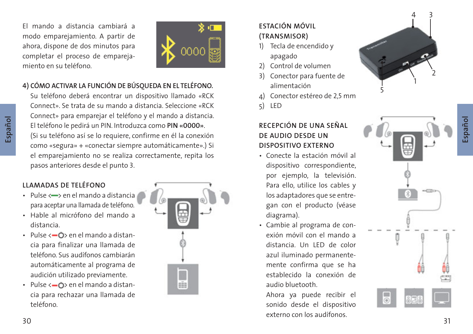El mando a distancia cambiará a modo emparejamiento. A partir de ahora, dispone de dos minutos para completar el proceso de emparejamiento en su teléfono.



## **4) CÓMO ACTIVAR LA FUNCIÓN DE BÚSQUEDA EN EL TELÉFONO.**

Su teléfono deberá encontrar un dispositivo llamado «RCK Connect». Se trata de su mando a distancia. Seleccione «RCK Connect» para emparejar el teléfono y el mando a distancia. El teléfono le pedirá un PIN. Introduzca como **PIN «0000 »**. (Si su teléfono así se lo requiere, confirme en él la conexión como «segura» + «conectar siempre automáticamente».) Si el emparejamiento no se realiza correctamente, repita los pasos anteriores desde el punto 3 .

## **LLAMADAS DE TELÉFONO**

- $\cdot$  Pulse  $\leftarrow$  en el mando a distancia para aceptar una llamada de teléfono.
- Hable al micrófono del mando a distancia.
- $\cdot$  Pulse  $\leftarrow$   $\bullet$  en el mando a distan cia para finalizar una llamada de teléfono. Sus audífonos cambiarán automáticamente al programa de audición utilizado previamente.
- $\cdot$  Pulse  $\langle -\phi \rangle$  en el mando a distan cia para rechazar una llamada de teléfono.



## **ESTACIÓN MÓVIL (TRANSMISOR)**

- 1) Tecla de encendido y apagado
- 2) Control de volumen
- 3) Conector para fuente de alimentación
- <sup>4</sup>) Conector estéreo de 2,5 mm 5) LED
- 

## **RECEPCIÓN DE UNA SEÑAL DE AUDIO DESDE UN DISPOSITIVO EXTERNO**

- Conecte la estación móvil al dispositivo correspondiente, por ejemplo, la televisión. Para ello, utilice los cables y los adaptadores que se entre gan con el producto (véase diagrama).
- Cambie al programa de con exión móvil con el mando a distancia. Un LED de color azul iluminado permanente mente confirma que se ha establecido la conexión de audio bluetooth.

 $\alpha$  and  $\beta$  and  $\beta$  and  $\beta$  and  $\beta$  and  $\beta$  and  $\beta$  and  $\beta$  and  $\beta$  31 Ahora ya puede recibir el sonido desde el dispositivo externo con los audífonos.

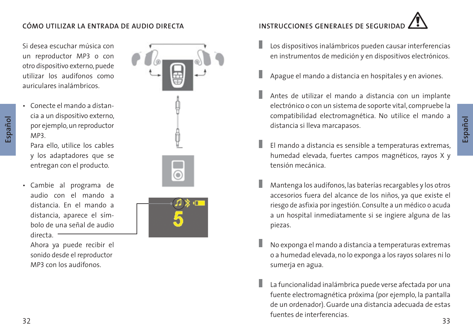## **CÓMO UTILIZAR LA ENTRADA DE AUDIO DIRECTA**

Si desea escuchar música con un reproductor MP3 o con otro dispositivo externo, puede utilizar los audífonos como auriculares inalámbricos.

- **Español**
- Conecte el mando a distan cia a un dispositivo externo, por ejemplo, un reproductor MP3.

 Para ello, utilice los cables y los adaptadores que se entregan con el producto.

 • Cambie al programa de audio con el mando a distancia. En el mando a distancia, aparece el sím bolo de una señal de audio directa. -

 Ahora ya puede recibir el sonido desde el reproductor MP3 con los audífonos.



# **INSTRUCCIONES GENERALES DE SEGURID**

- Los dispositivos inalámbricos pueden causar interferencias en instrumentos de medición y en dispositivos electrónicos.
- Apague el mando a distancia en hospitales y en aviones.
- Antes de utilizar el mando a distancia con un implante electrónico o con un sistema de soporte vital, compruebe la compatibilidad electromagnética. No utilice el mando a distancia si lleva marcapasos.
- El mando a distancia es sensible a temperaturas extremas, humedad elevada, fuertes campos magnéticos, rayos X y tensión mecánica.
- Mantenga los audífonos, las baterías recargables y los otros accesorios fuera del alcance de los niños, ya que existe el riesgo de asfixia por ingestión. Consulte a un médico o acuda a un hospital inmediatamente si se ingiere alguna de las piezas.
- No exponga el mando a distancia a temperaturas extremas o a humedad elevada, no lo exponga a los rayos solares ni lo sumerja en agua.
- and the members of members and the second state of the second state of the second state of the second state of La funcionalidad inalámbrica puede verse afectada por una fuente electromagnética próxima (por ejemplo, la pantalla de un ordenador). Guarde una distancia adecuada de estas fuentes de interferencias.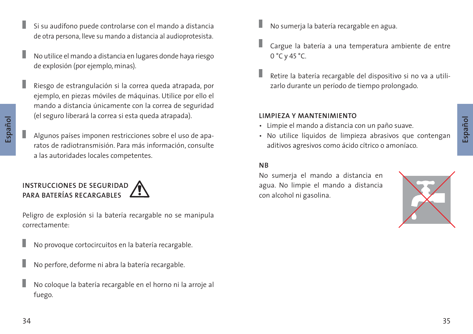**Español**

I

 **Español**

- Si su audífono puede controlarse con el mando a distancia de otra persona, lleve su mando a distancia al audioprotesista.
- No utilice el mando a distancia en lugares donde haya riesgo de explosión (por ejemplo, minas).
- Riesgo de estrangulación si la correa queda atrapada, por ejemplo, en piezas móviles de máquinas. Utilice por ello el mando a distancia únicamente con la correa de seguridad (el seguro liberará la correa si esta queda atrapada).
- Algunos países imponen restricciones sobre el uso de aparatos de radiotransmisión. Para más información, consulte a las autoridades locales competentes.

## **INSTRUCCIONES DE SEGURIDAD PARA BATERÍAS RECARGABLES**

 Peligro de explosión si la batería recargable no se manipula correctamente:

No provoque cortocircuitos en la batería recargable.

- No perfore, deforme ni abra la batería recargable.
- No coloque la batería recargable en el horno ni la arroje al fuego.
- No sumerja la batería recargable en agua.
- Cargue la batería a una temperatura ambiente de entre 0 °C y 45 °C.
- Retire la batería recargable del dispositivo si no va a utilizarlo durante un período de tiempo prolongado.

## **LIMPIEZA Y MANTENIMIENTO**

- Limpie el mando a distancia con un paño suave.
- No utilice líquidos de limpieza abrasivos que contengan aditivos agresivos como ácido cítrico o amoníaco.

## **NB**

No sumerja el mando a distancia en agua. No limpie el mando a distancia con alcohol ni gasolina.

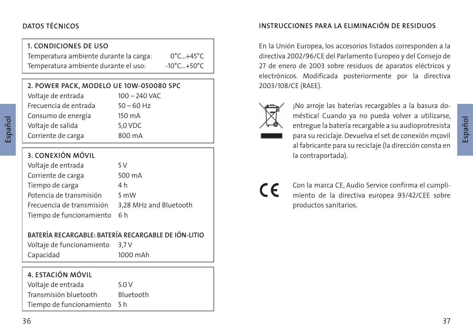## **DATOS TÉCNICOS**

## **1. CONDICIONES DE USO**

 Temperatura ambiente durante la carga: 0°C…+45°C Temperatura ambiente durante el uso: -10°C...+50°C

| 2. POWER PACK, MODELO UE 10W-050080 SPC |               |  |
|-----------------------------------------|---------------|--|
| Voltaje de entrada                      | 100 - 240 VAC |  |
| Frecuencia de entrada                   | $50 - 60$ Hz  |  |
| Consumo de energía                      | 150 mA        |  |
| Voltaje de salida                       | 5,0 VDC       |  |
| Corriente de carga                      | 800 mA        |  |

## **3. CONEXIÓN MÓVIL**

| Voltaje de entrada        | 5 V                    |
|---------------------------|------------------------|
| Corriente de carga        | 500 mA                 |
| Tiempo de carga           | 4 h                    |
| Potencia de transmisión   | 5 mW                   |
| Frecuencia de transmisión | 3,28 MHz and Bluetooth |
| Tiempo de funcionamiento  | 6 h                    |

## **BATERÍA RECARGABLE: BATERÍA RECARGABLE DE IÓN-LITIO**

 Voltaje de funcionamiento 3,7 V Capacidad 1000 mAh

## **4. ESTACIÓN MÓVIL**

Voltaje de entrada 5.0 V

Transmisión bluetooth Bluetooth

Tiempo de funcionamiento 5 h

## **INSTRUCCIONES PARA LA ELIMINACIÓN DE RESIDUOS**

 En la Unión Europea, los accesorios listados corresponden a la directiva 2002/96/CE del Parlamento Europeo y del Consejo de 27 de enero de 2003 sobre residuos de aparatos eléctricos y electrónicos. Modificada posteriormente por la directiva 2003/108/CE (RAEE).



¡No arroje las baterías recargables a la basura doméstica! Cuando ya no pueda volver a utilizarse, entregue la batería recargable a su audioprotresista para su reciclaje. Devuelva el set de conexión mçovil al fabricante para su reciclaje (la dirección consta en la contraportada).

 $\epsilon$ 

Con la marca CE, Audio Service confirma el cumplimiento de la directiva europea 93/42/CEE sobre productos sanitarios.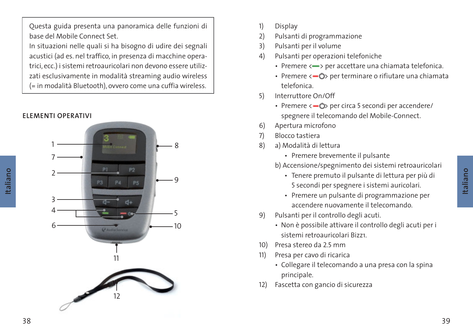Questa guida presenta una panoramica delle funzioni di base del Mobile Connect Set.

In situazioni nelle quali si ha bisogno di udire dei segnali acustici (ad es. nel traffico, in presenza di macchine operatrici, ecc.) i sistemi retroauricolari non devono essere utilizzati esclusivamente in modalità streaming audio wireless (= in modalità Bluetooth), ovvero come una cuffia wireless.



- 1) Display
- 2) Pulsanti di programmazione
- 3) Pulsanti per il volume
- 4) Pulsanti per operazioni telefoniche
	- Premere <- > per accettare una chiamata telefonica.
	- Premere  $\langle -\mathbf{O} \rangle$  per terminare o rifiutare una chiamata telefonica.
- 5) Interruttore On/Off
	- Premere <  $\bigcirc$ > per circa 5 secondi per accendere/ spegnere il telecomando del Mobile-Connect.
- 6) Apertura microfono
- 7) Blocco tastiera
- 8) a) Modalità di lettura
	- Premere brevemente il pulsante
	- b) Accensione/spegnimento dei sistemi retroauricolari
		- Tenere premuto il pulsante di lettura per più di 5 secondi per spegnere i sistemi auricolari.
		- Premere un pulsante di programmazione per accendere nuovamente il telecomando.
- 9) Pulsanti per il controllo degli acuti.
	- Non è possibile attivare il controllo degli acuti per i sistemi retroauricolari Bizz1.
- 10) Presa stereo da 2.5 mm
- 11) Presa per cavo di ricarica
	- Collegare il telecomando a una presa con la spina principale.
- 12) Fascetta con gancio di sicurezza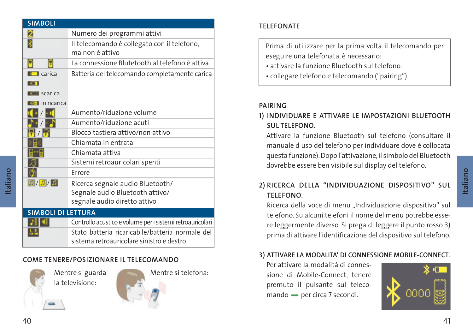| <b>SIMBOLI</b>            |                                                                |
|---------------------------|----------------------------------------------------------------|
| 2                         | Numero dei programmi attivi                                    |
|                           | Il telecomando è collegato con il telefono,<br>ma non è attivo |
| Π                         | La connessione Blutetooth al telefono è attiva                 |
| $\blacksquare$ carica     | Batteria del telecomando completamente carica                  |
|                           |                                                                |
| <b>I</b> scarica          |                                                                |
| <b>a</b> in ricarica      |                                                                |
|                           | Aumento/riduzione volume                                       |
|                           | Aumento/riduzione acuti                                        |
|                           | Blocco tastiera attivo/non attivo                              |
|                           | Chiamata in entrata                                            |
|                           | Chiamata attiva                                                |
|                           | Sistemi retroauricolari spenti                                 |
|                           | Errore                                                         |
| $\boxed{1} / \boxed{1}$   | Ricerca segnale audio Bluetooth/                               |
|                           | Segnale audio Bluetooth attivo/                                |
|                           | segnale audio diretto attivo                                   |
| <b>SIMBOLI DI LETTURA</b> |                                                                |

| м | Controllo acustico e volume per i sistemi retroauricolari |
|---|-----------------------------------------------------------|
|   | Stato batteria ricaricabile/batteria normale del          |
|   | sistema retroauricolare sinistro e destro                 |

## **COME TENERE/POSIZIONARE IL TELECOMANDO**



县

 Mentre si guarda la televisione:



 **TELEFONATE**

Prima di utilizzare per la prima volta il telecomando per eseguire una telefonata, è necessario:

- attivare la funzione Bluetooth sul telefono.
- collegare telefono e telecomando ("pairing").

## **PAIRING**

## **1) INDIVIDUARE E ATTIVARE LE IMPOSTAZIONI BLUETOOTH SUL TELEFONO.**

Attivare la funzione Bluetooth sul telefono (consultare il manuale d uso del telefono per individuare dove è collocata questa funzione). Dopo l'attivazione, il simbolo del Bluetooth dovrebbe essere ben visibile sul display del telefono.

## **2) RICERCA DELLA "INDIVIDUAZIONE DISPOSITIVO" SUL TELEFONO.**

Ricerca della voce di menu "Individuazione dispositivo" sul telefono. Su alcuni telefoni il nome del menu potrebbe essere leggermente diverso. Si prega di leggere il punto rosso 3) prima di attivare l'identificazione del dispositivo sul telefono.

## **3) ATTIVARE LA MODALITA' DI CONNESSIONE MOBILE-CONNECT.**

Per attivare la modalità di connessione di Mobile-Connect, tenere premuto il pulsante sul telecomando - per circa 7 secondi.



 **Italiano**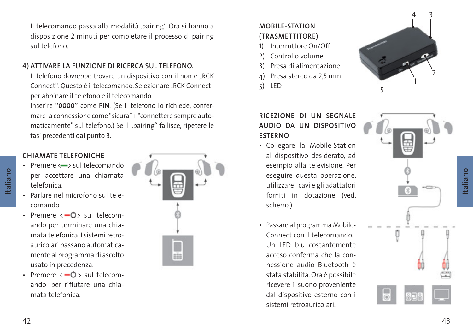Il telecomando passa alla modalità ,pairing'. Ora si hanno a disposizione 2 minuti per completare il processo di pairing sul telefono.

## **4) ATTIVARE LA FUNZIONE DI RICERCA SUL TELEFONO.**

Il telefono dovrebbe trovare un dispositivo con il nome "RCK Connect". Questo è il telecomando. Selezionare "RCK Connect" per abbinare il telefono e il telecomando.

Inserire **"0000"** come **PIN**. (Se il telefono lo richiede, confermare la connessione come "sicura" + "connettere sempre automaticamente" sul telefono.) Se il "pairing" fallisce, ripetere le fasi precedenti dal punto 3 .

## **CHIAMATE TELEFONICHE**

- $\cdot$  Premere  $\leftarrow$  sul telecomando per accettare una chiamata telefonica.
- Parlare nel microfono sul tele comando.
- Premere  $\leftarrow$   $\bullet$  sul telecom ando per terminare una chia mata telefonica. I sistemi retroauricolari passano automaticamente al programma di ascolto usato in precedenza.
- Premere  $\langle -\mathbf{O} \rangle$  sul telecom ando per rifiutare una chia mata telefonica.



## **MOBILE-STATION (TRASMETTITORE)**

- 1) Interruttore On/Off
- 2) Controllo volume
- 3) Presa di alimentazione
- <sup>4</sup>) Presa stereo da 2,5 mm 5) LED
- 

## **RICEZIONE DI UN SEGNALE AUDIO DA UN DISPOSITIVO ESTERNO**

- Collegare la Mobile-Station al dispositivo desiderato, ad esempio alla televisione. Per eseguire questa operazione, utilizzare i cavi e gli adattatori forniti in dotazione (ved. schema).
- Passare al programma Mobile- Connect con il telecomando. Un LED blu costantemente acceso conferma che la con nessione audio Bluetooth è stata stabilita. Ora è possibile ricevere il suono proveniente dal dispositivo esterno con i sistemi retroauricolari.

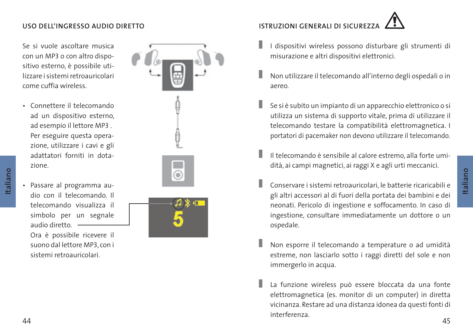## **USO DELL'INGRESSO AUDIO DIRETTO**

Se si vuole ascoltare musica con un MP3 o con altro dispositivo esterno, è possibile utilizzare i sistemi retroauricolari come cuffia wireless.

- Connettere il telecomando ad un dispositivo esterno, ad esempio il lettore MP3 . Per eseguire questa opera zione, utilizzare i cavi e gli adattatori forniti in dota zione.
- Passare al programma au dio con il telecomando. Il telecomando visualizza il

 **Italiano**

 simbolo per un segnale audio diretto. Ora è possibile ricevere il suono dal lettore MP3, con i

sistemi retroauricolari.



# **ISTRUZIONI GENERALI DI SICUREZZ**

- I dispositivi wireless possono disturbare gli strumenti di misurazione e altri dispositivi elettronici.
- Non utilizzare il telecomando all'interno degli ospedali o in aereo.
- Se si è subito un impianto di un apparecchio elettronico o si utilizza un sistema di supporto vitale, prima di utilizzare il telecomando testare la compatibilità elettromagnetica. I portatori di pacemaker non devono utilizzare il telecomando.
- Il telecomando è sensibile al calore estremo, alla forte umidità, ai campi magnetici, ai raggi X e agli urti meccanici.
- Conservare i sistemi retroauricolari, le batterie ricaricabili e gli altri accessori al di fuori della portata dei bambini e dei neonati. Pericolo di ingestione e soffocamento. In caso di ingestione, consultare immediatamente un dottore o un ospedale.
- Non esporre il telecomando a temperature o ad umidità estreme, non lasciarlo sotto i raggi diretti del sole e non immergerlo in acqua.
- experience and the contract of the contract of the contract of the contract of the contract of the contract of the contract of the contract of the contract of the contract of the contract of the contract of the contract of La funzione wireless può essere bloccata da una fonte elettromagnetica (es. monitor di un computer) in diretta vicinanza. Restare ad una distanza idonea da questi fonti di interferenza.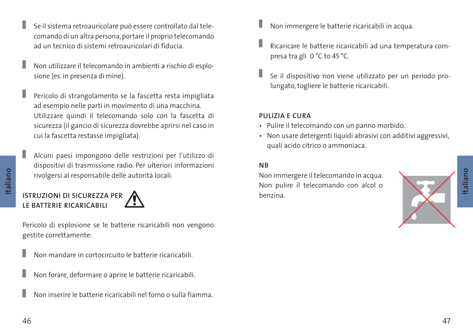- Se il sistema retroauricolare può essere controllato dal telecomando di un altra persona, portare il proprio telecomando ad un tecnico di sistemi retroauricolari di fiducia.
- Non utilizzare il telecomando in ambienti a rischio di esplosione (es. in presenza di mine).
- Pericolo di strangolamento se la fascetta resta impigliata ad esempio nelle parti in movimento di una macchina. Utilizzare quindi il telecomando solo con la fascetta di sicurezza (il gancio di sicurezza dovrebbe aprirsi nel caso in cui la fascetta restasse impigliata).
- Alcuni paesi impongono delle restrizioni per l'utilizzo di dispositivi di trasmissione radio. Per ulteriori informazioni rivolgersi al responsabile delle autorità locali.

## **ISTRUZIONI DI SICUREZZA PER ALL'ANDRE DE L'ALLE DE L'ALLE DE L'ALLE DE L'ALLE DE L'ALLE DE L'ALLE DE L'ALLE DE LE BATTERIE RICARICABILI**

 Pericolo di esplosione se le batterie ricaricabili non vengono gestite correttamente:

- Non mandare in cortocircuito le batterie ricaricabili.
- Non forare, deformare o aprire le batterie ricaricabili.
- Non inserire le batterie ricaricabili nel forno o sulla fiamma.
- Non immergere le batterie ricaricabili in acqua.
- Ricaricare le batterie ricaricabili ad una temperatura compresa tra gli 0 °C to 45 °C.
- Se il dispositivo non viene utilizzato per un periodo prolungato, togliere le batterie ricaricabili.

## **PULIZIA E CURA**

- Pulire il telecomando con un panno morbido.
- Non usare detergenti liquidi abrasivi con additivi aggressivi, quali acido citrico o ammoniaca.

## **NB**

Non immergere il telecomando in acqua. Non pulire il telecomando con alcol o

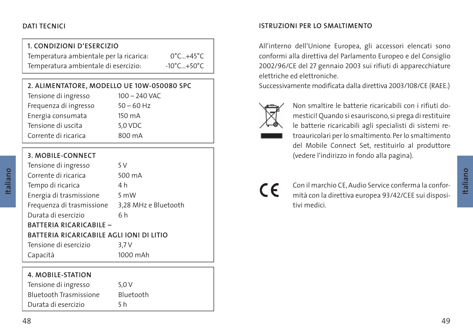## **1. CONDIZIONI D'ESERCIZIO**

 Temperatura ambientale per la ricarica: 0°C…+45°C Temperatura ambientale di esercizio:  $10^{\circ}$ C...+50°C

| Tensione di ingresso  | $100 - 240$ VAC |
|-----------------------|-----------------|
| Frequenza di ingresso | $50 - 60$ Hz    |
| Energia consumata     | 150 mA          |
| Tensione di uscita    | 5,0 VDC         |
| Corrente di ricarica  | 800 mA          |
|                       |                 |

## **3. MOBILE-CONNECT**

| Tensione di ingresso                     | 5 V                  |  |
|------------------------------------------|----------------------|--|
| Corrente di ricarica                     | 500 mA               |  |
| Tempo di ricarica                        | 4 h                  |  |
| Energia di trasmissione                  | 5 mW                 |  |
| Frequenza di trasmissione                | 3,28 MHz e Bluetooth |  |
| Durata di esercizio                      | 6h                   |  |
| BATTERIA RICARICABILE -                  |                      |  |
| BATTERIA RICARICABILE AGLI IONI DI LITIO |                      |  |
| Tensione di esercizio                    | 3.7V                 |  |
| Capacità                                 | 1000 mAh             |  |

## **4. MOBILE-STATION**

Tensione di ingresso 5,0 V Bluetooth Trasmissione Bluetooth Durata di esercizio 5 h

## **DATI TECNICI ISTRUZIONI PER LO SMALTIMENTO**

 All'interno dell'Unione Europea, gli accessori elencati sono conformi alla direttiva del Parlamento Europeo e del Consiglio 2002/96/CE del 27 gennaio 2003 sui rifiuti di apparecchiature elettriche ed elettroniche.

Successivamente modificata dalla direttiva 2003/108/CE (RAEE.)



 Non smaltire le batterie ricaricabili con i rifiuti domestici! Quando si esauriscono, si prega di restituire le batterie ricaricabili agli specialisti di sistemi retroauricolari per lo smaltimento. Per lo smaltimento del Mobile Connect Set, restituirlo al produttore (vedere l'indirizzo in fondo alla pagina).

# $\epsilon$

Con il marchio CE, Audio Service conferma la conformità con la direttiva europea 93/42/CEE sui dispositivi medici.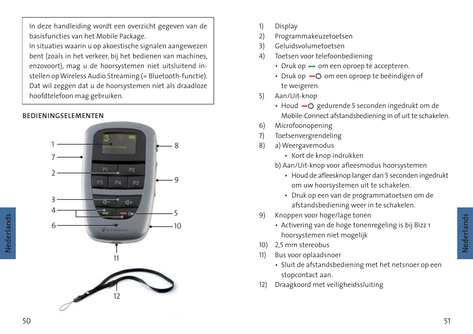In deze handleiding wordt een overzicht gegeven van de basisfuncties van het Mobile Package.

In situaties waarin u op akoestische signalen aangewezen bent (zoals in het verkeer, bij het bedienen van machines, enzovoort), mag u de hoorsystemen niet uitsluitend instellen op Wireless Audio Streaming (= Bluetooth-functie). Dat wil zeggen dat u de hoorsystemen niet als draadloze hoofdtelefoon mag gebruiken.

## **BEDIENINGSELEMENTEN**



- 1) Display
- 2) Programmakeuzetoetsen
- 3) Geluidsvolumetoetsen
- 4) Toetsen voor telefoonbediening
	- $\cdot$  Druk op  $\sim$  om een oproep te accepteren.
	- Druk op  $\bullet$  om een oproep te beëindigen of te weigeren.
- 5) Aan/Uit-knop
	- Houd  $-$  gedurende 5 seconden ingedrukt om de Mobile-Connect afstandsbediening in of uit te schakelen.
- 6) Microfoonopening
- 7) Toetsenvergrendeling
- 8) a) Weergavemodus
	- Kort de knop indrukken
	- b) Aan/Uit-knop voor afleesmodus hoorsystemen
		- Houd de afleesknop langer dan 5 seconden ingedrukt om uw hoorsystemen uit te schakelen.
		- Druk op een van de programmatoetsen om de afstandsbediening weer in te schakelen.
- 9) Knoppen voor hoge/lage tonen
	- Activering van de hoge tonenregeling is bij Bizz 1 hoorsystemen niet mogelijk
- 10) 2,5 mm stereobus
- 11) Bus voor oplaadsnoer
	- Sluit de afstandsbediening met het netsnoer op een stopcontact aan.
- 12) Draagkoord met veiligheidssluiting

**Nederlands**

Nederlands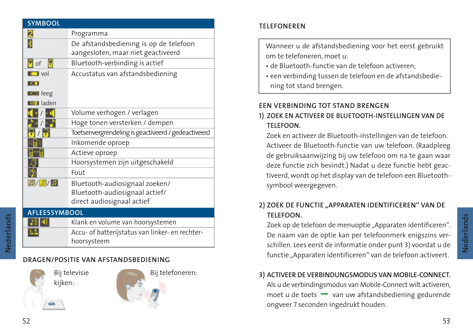| <b>SYMBOOL</b>                               |                                                                                                |
|----------------------------------------------|------------------------------------------------------------------------------------------------|
| 2                                            | Programma                                                                                      |
|                                              | De afstandsbediening is op de telefoon<br>aangesloten, maar niet geactiveerd                   |
| оf                                           | Bluetooth-verbinding is actief                                                                 |
| $\blacksquare$ vol                           | Accustatus van afstandsbediening                                                               |
| $\blacksquare$ leeg<br><b>Lu-I</b> laden     |                                                                                                |
|                                              | Volume verhogen / verlagen                                                                     |
|                                              | Hoge tonen versterken / dempen                                                                 |
|                                              | Toetsenvergrendeling is geactiveerd / gedeactiveerd                                            |
|                                              | Inkomende oproep                                                                               |
|                                              | Actieve oproep                                                                                 |
|                                              | Hoorsystemen zijn uitgeschakeld                                                                |
|                                              | Fout                                                                                           |
| $\boxed{\mathbb{Z}/[\mathbb{Z}]/\mathbb{Z}}$ | Bluetooth-audiosignaal zoeken/<br>Bluetooth-audiosignaal actief/<br>direct audiosignaal actief |
| <b>AFLEESSYMBOOL</b>                         |                                                                                                |
|                                              |                                                                                                |

# **ALL AR**

基型

 Accu- of batterijstatus van linker- en rechterhoorsysteem Klank en volume van hoorsystemen

## **DRAGEN/POSITIE VAN AFSTANDSBEDIENING**





Bij telefoneren:

## **TELEFONEREN**

 Wanneer u de afstandsbediening voor het eerst gebruikt om te telefoneren, moet u:

- de Bluetooth-functie van de telefoon activeren;
- een verbinding tussen de telefoon en de afstandsbedie ning tot stand brengen.

## **EEN VERBINDING TOT STAND BRENGEN**

## **1) ZOEK EN ACTIVEER DE BLUETOOTH-INSTELLINGEN VAN DE TELEFOON.**

 Zoek en activeer de Bluetooth-instellingen van de telefoon. Activeer de Bluetooth-functie van uw telefoon. (Raadpleeg de gebruiksaanwijzing bij uw telefoon om na te gaan waar deze functie zich bevindt.) Nadat u deze functie hebt geactiveerd, wordt op het display van de telefoon een Bluetoothsymbool weergegeven.

## **2) ZOEK DE FUNCTIE "APPARATEN IDENTIFICEREN" VAN DE TELEFOON.**

Zoek op de telefoon de menuoptie "Apparaten identificeren". De naam van de optie kan per telefoonmerk enigszins verschillen. Lees eerst de informatie onder punt 3) voordat u de functie "Apparaten identificeren" van de telefoon activeert.

## **3) ACTIVEER DE VERBINDUNGSMODUS VAN MOBILE-CONNECT.**

Als u de verbindingsmodus van Mobile-Connect wilt activeren, moet u de toets  $\longrightarrow$  van uw afstandsbediening gedurende ongveer 7 seconden ingedrukt houden.

**Nederlands**

Nederlands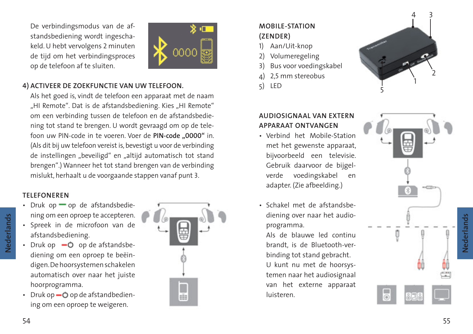De verbindingsmodus van de afstandsbediening wordt ingeschakeld. U hebt vervolgens 2 minuten de tijd om het verbindingsproces op de telefoon af te sluiten.



## **4) ACTIVEER DE ZOEKFUNCTIE VAN UW TELEFOON.**

 Als het goed is, vindt de telefoon een apparaat met de naam "HI Remote". Dat is de afstandsbediening. Kies "HI Remote" om een verbinding tussen de telefoon en de afstandsbediening tot stand te brengen. U wordt gevraagd om op de telefoon uw PIN-code in te voeren. Voer de **PIN-code "0000"** in. (Als dit bij uw telefoon vereist is, bevestigt u voor de verbinding de instellingen "beveiligd" en "altijd automatisch tot stand brengen".) Wanneer het tot stand brengen van de verbinding mislukt, herhaalt u de voorgaande stappen vanaf punt 3 .

## **TELEFONEREN**

54

**Nederlands**

Nederlands

- $\cdot$  Druk op  $\rightarrow$  op de afstandsbediening om een oproep te accepteren.
- Spreek in de microfoon van de afstandsbediening.
- Druk op  $-\bullet$  op de afstandsbe diening om een oproep te beëin digen. De hoorsystemen schakelen automatisch over naar het juiste hoorprogramma.
- Druk op  $-$  O op de afstandbediening om een oproep te weigeren.



## **MOBILE-STATION (ZENDER)**

- 1) Aan/Uit-knop
- 2) Volumeregeling
- 3) Bus voor voedingskabel
- <sup>4</sup>) 2,5 mm stereobus 5) LED
- 



## **AUDIOSIGNAAL VAN EXTERN APPARAAT ONTVANGEN**

- Verbind het Mobile-Station met het gewenste apparaat, bijvoorbeeld een televisie. Gebruik daarvoor de bijgel verde voedingskabel en adapter. (Zie afbeelding.)
- Schakel met de afstandsbe diening over naar het audio programma.

 Als de blauwe led continu brandt, is de Bluetooth-ver binding tot stand gebracht. U kunt nu met de hoorsys temen naar het audiosignaal van het externe apparaat luisteren.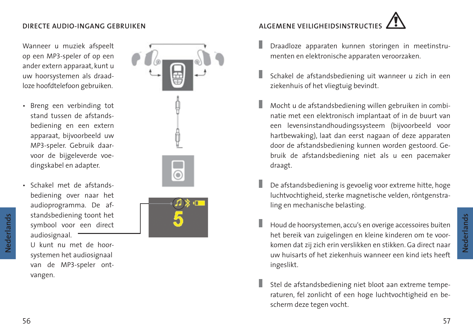## **DIRECTE AUDIO-INGANG GEBRUIKEN**

 Wanneer u muziek afspeelt op een MP3-speler of op een ander extern apparaat, kunt u uw hoorsystemen als draadloze hoofdtelefoon gebruiken.

- Breng een verbinding tot stand tussen de afstands bediening en een extern apparaat, bijvoorbeeld uw MP3-speler. Gebruik daar voor de bijgeleverde voe dingskabel en adapter.
- Schakel met de afstands bediening over naar het audioprogramma. De af standsbediening toont het symbool voor een direct audiosignaal.

 U kunt nu met de hoor systemen het audiosignaal van de MP3-speler ont vangen.



# **ALGEMENE VEILIGHEIDSINSTRUCT**

- Draadloze apparaten kunnen storingen in meetinstrumenten en elektronische apparaten veroorzaken.
- Schakel de afstandsbediening uit wanneer u zich in een ziekenhuis of het vliegtuig bevindt.
- Mocht u de afstandsbediening willen gebruiken in combinatie met een elektronisch implantaat of in de buurt van een levensinstandhoudingssysteem (bijvoorbeeld voor hartbewaking), laat dan eerst nagaan of deze apparaten door de afstandsbediening kunnen worden gestoord. Gebruik de afstandsbediening niet als u een pacemaker draagt.
- De afstandsbediening is gevoelig voor extreme hitte, hoge luchtvochtigheid, sterke magnetische velden, röntgenstraling en mechanische belasting.
- Houd de hoorsystemen, accu's en overige accessoires buiten het bereik van zuigelingen en kleine kinderen om te voorkomen dat zij zich erin verslikken en stikken. Ga direct naar uw huisarts of het ziekenhuis wanneer een kind iets heeft ingeslikt.
	- Stel de afstandsbediening niet bloot aan extreme temperaturen, fel zonlicht of een hoge luchtvochtigheid en bescherm deze tegen vocht.

**Nederlands**

Nederlands

**Nederlands**

Nederlands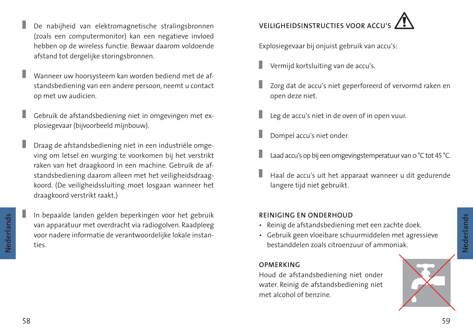58 $8<sup>8</sup>$ 

Nederlands **Nederlands**

- De nabijheid van elektromagnetische stralingsbronnen (zoals een computermonitor) kan een negatieve invloed hebben op de wireless functie. Bewaar daarom voldoende afstand tot dergelijke storingsbronnen.
- Wanneer uw hoorsysteem kan worden bediend met de afstandsbediening van een andere persoon, neemt u contact op met uw audicien.
- ı Gebruik de afstandsbediening niet in omgevingen met explosiegevaar (bijvoorbeeld mijnbouw).
- Draag de afstandsbediening niet in een industriële omgeving om letsel en wurging te voorkomen bij het verstrikt raken van het draagkoord in een machine. Gebruik de afstandsbediening daarom alleen met het veiligheidsdraagkoord. (De veiligheidssluiting moet losgaan wanneer het draagkoord verstrikt raakt.)
- Nederlands **Nederlands**
	- In bepaalde landen gelden beperkingen voor het gebruik van apparatuur met overdracht via radiogolven. Raadpleeg voor nadere informatie de verantwoordelijke lokale instanties.

# **VEILIGHEIDSINSTRUCTIES VOOR ACC**

Explosiegevaar bij onjuist gebruik van accu's:

- Vermijd kortsluiting van de accu's.
- Zorg dat de accu's niet geperforeerd of vervormd raken en open deze niet.
- Leg de accu's niet in de oven of in open vuur.
- Dompel accu's niet onder.
- Laad accu's op bij een omgevingstemperatuur van 0 °C tot 45 °C.
- Haal de accu's uit het apparaat wanneer u dit gedurende langere tijd niet gebruikt.

## **REINIGING EN ONDERHOUD**

- Reinig de afstandsbediening met een zachte doek.
- Gebruik geen vloeibare schuurmiddelen met agressieve bestanddelen zoals citroenzuur of ammoniak.

## **OPMERKING**

 Houd de afstandsbediening niet onder water. Reinig de afstandsbediening niet met alcohol of benzine.

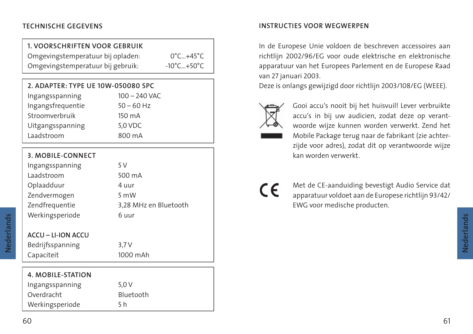## **1. VOORSCHRIFTEN VOOR GEBRUIK**

 Omgevingstemperatuur bij opladen: 0°C…+45°C Omgevingstemperatuur bij gebruik: - 10°C...+50°C

## **2. ADAPTER: TYPE UE 10W-050080 SPC**

| Ingangsspanning   | $100 - 240$ VAC |
|-------------------|-----------------|
| Ingangsfrequentie | $50 - 60$ Hz    |
| Stroomverbruik    | 150 mA          |
| Uitgangsspanning  | 5,0 VDC         |
| Laadstroom        | 800 mA          |

## **3. MOBILE-CONNECT**

| Ingangsspanning | 5 V                   |
|-----------------|-----------------------|
| Laadstroom      | 500 mA                |
| Oplaadduur      | 4 uur                 |
| Zendvermogen    | 5 mW                  |
| Zendfrequentie  | 3,28 MHz en Bluetooth |
| Werkingsperiode | 6 uur                 |
|                 |                       |

## **ACCU – LI-ION ACCU**

 Bedrijfsspanning 3,7 V Capaciteit 1000 mAh

| 4. MOBILE-STATION |           |
|-------------------|-----------|
| Ingangsspanning   | 5.0V      |
| Overdracht        | Bluetooth |
| Werkingsperiode   | 5 h       |

## **TECHNISCHE GEGEVENS INSTRUCTIES VOOR WEGWERPEN**

 In de Europese Unie voldoen de beschreven accessoires aan richtlijn 2002/96/EG voor oude elektrische en elektronische apparatuur van het Europees Parlement en de Europese Raad van 27 januari 2003.

Deze is onlangs gewijzigd door richtlijn 2003/108/EG (WEEE).



 Gooi accu's nooit bij het huisvuil! Lever verbruikte accu's in bij uw audicien, zodat deze op verantwoorde wijze kunnen worden verwerkt. Zend het Mobile Package terug naar de fabrikant (zie achterzijde voor adres), zodat dit op verantwoorde wijze kan worden verwerkt.

 Met de CE-aanduiding bevestigt Audio Service dat apparatuur voldoet aan de Europese richtlijn 93/42/ EWG voor medische producten.

**Nederlands**

Nederlands